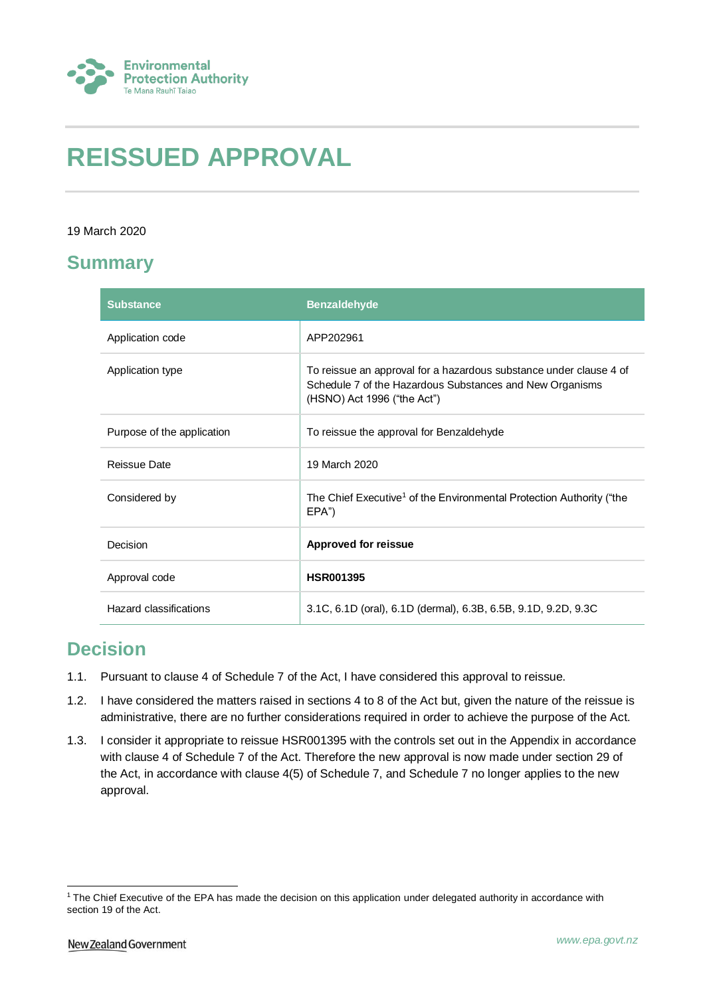

# **REISSUED APPROVAL**

#### 19 March 2020

## **Summary**

| <b>Substance</b>           | <b>Benzaldehyde</b>                                                                                                                                           |
|----------------------------|---------------------------------------------------------------------------------------------------------------------------------------------------------------|
| Application code           | APP202961                                                                                                                                                     |
| Application type           | To reissue an approval for a hazardous substance under clause 4 of<br>Schedule 7 of the Hazardous Substances and New Organisms<br>(HSNO) Act 1996 ("the Act") |
| Purpose of the application | To reissue the approval for Benzaldehyde                                                                                                                      |
| Reissue Date               | 19 March 2020                                                                                                                                                 |
| Considered by              | The Chief Executive <sup>1</sup> of the Environmental Protection Authority ("the<br>EPA")                                                                     |
| Decision                   | <b>Approved for reissue</b>                                                                                                                                   |
| Approval code              | <b>HSR001395</b>                                                                                                                                              |
| Hazard classifications     | 3.1C, 6.1D (oral), 6.1D (dermal), 6.3B, 6.5B, 9.1D, 9.2D, 9.3C                                                                                                |

## **Decision**

- 1.1. Pursuant to clause 4 of Schedule 7 of the Act, I have considered this approval to reissue.
- 1.2. I have considered the matters raised in sections 4 to 8 of the Act but, given the nature of the reissue is administrative, there are no further considerations required in order to achieve the purpose of the Act.
- 1.3. I consider it appropriate to reissue HSR001395 with the controls set out in the Appendix in accordance with clause 4 of Schedule 7 of the Act. Therefore the new approval is now made under section 29 of the Act, in accordance with clause 4(5) of Schedule 7, and Schedule 7 no longer applies to the new approval.

1

 $1$  The Chief Executive of the EPA has made the decision on this application under delegated authority in accordance with section 19 of the Act.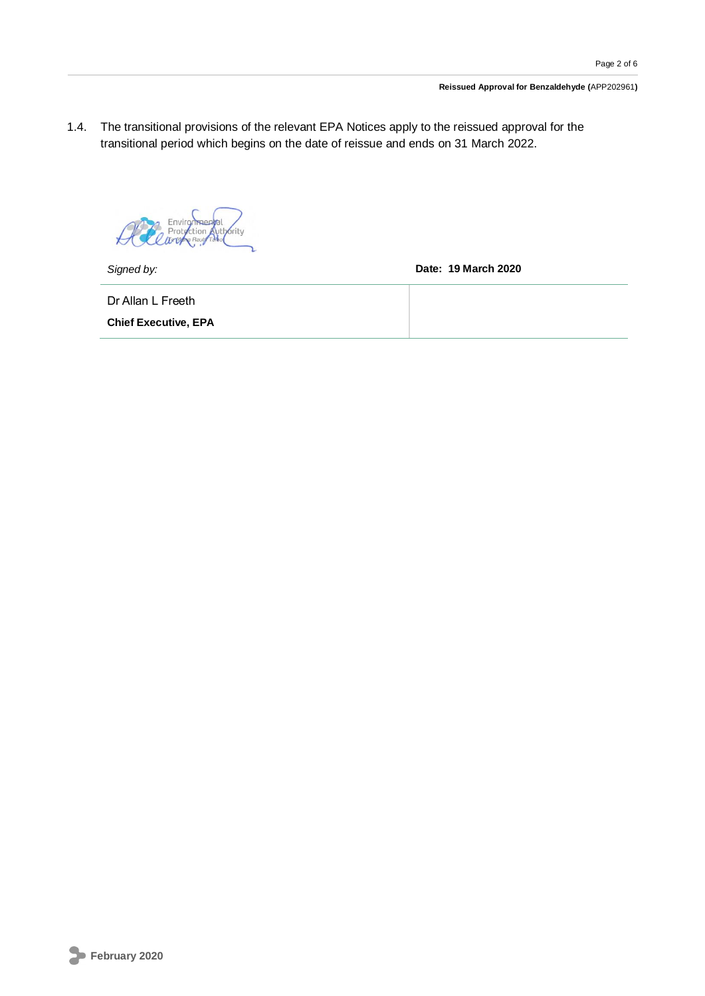1.4. The transitional provisions of the relevant EPA Notices apply to the reissued approval for the transitional period which begins on the date of reissue and ends on 31 March 2022.

Environmental brity  $\star$ 

*Signed by:* **Date: 19 March 2020**

Dr Allan L Freeth

**Chief Executive, EPA**

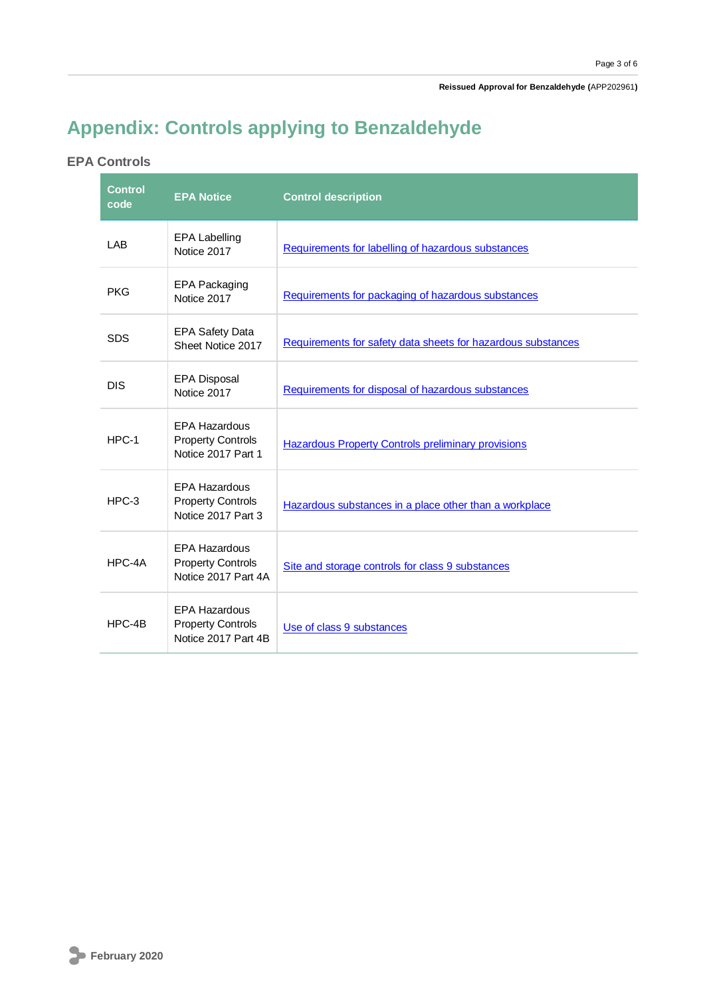## **Appendix: Controls applying to Benzaldehyde**

#### **EPA Controls**

| <b>Control</b><br>code | <b>EPA Notice</b>                                                       | <b>Control description</b>                                   |
|------------------------|-------------------------------------------------------------------------|--------------------------------------------------------------|
| LAB                    | <b>EPA Labelling</b><br>Notice 2017                                     | Requirements for labelling of hazardous substances           |
| <b>PKG</b>             | <b>EPA Packaging</b><br>Notice 2017                                     | Requirements for packaging of hazardous substances           |
| <b>SDS</b>             | <b>EPA Safety Data</b><br>Sheet Notice 2017                             | Requirements for safety data sheets for hazardous substances |
| <b>DIS</b>             | <b>EPA Disposal</b><br>Notice 2017                                      | Requirements for disposal of hazardous substances            |
| $HPC-1$                | <b>EPA Hazardous</b><br><b>Property Controls</b><br>Notice 2017 Part 1  | <b>Hazardous Property Controls preliminary provisions</b>    |
| $HPC-3$                | <b>EPA Hazardous</b><br><b>Property Controls</b><br>Notice 2017 Part 3  | Hazardous substances in a place other than a workplace       |
| HPC-4A                 | <b>EPA Hazardous</b><br><b>Property Controls</b><br>Notice 2017 Part 4A | Site and storage controls for class 9 substances             |
| HPC-4B                 | <b>EPA Hazardous</b><br><b>Property Controls</b><br>Notice 2017 Part 4B | Use of class 9 substances                                    |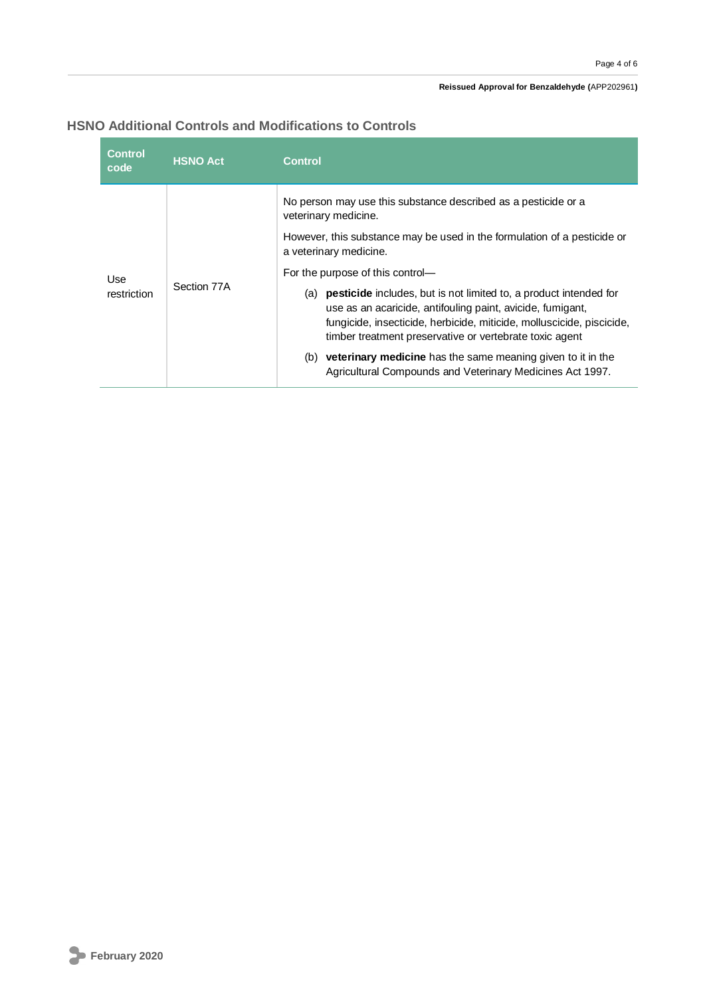#### **Reissued Approval for Benzaldehyde (**APP202961**)**

#### **HSNO Additional Controls and Modifications to Controls**

| No person may use this substance described as a pesticide or a<br>veterinary medicine.<br>However, this substance may be used in the formulation of a pesticide or<br>a veterinary medicine.<br>For the purpose of this control-<br>Use<br>Section 77A<br><b>pesticide</b> includes, but is not limited to, a product intended for<br>restriction<br>(a)<br>use as an acaricide, antifouling paint, avicide, fumigant,<br>fungicide, insecticide, herbicide, miticide, molluscicide, piscicide, | <b>Control</b><br>code | <b>HSNO Act</b> | Control |
|-------------------------------------------------------------------------------------------------------------------------------------------------------------------------------------------------------------------------------------------------------------------------------------------------------------------------------------------------------------------------------------------------------------------------------------------------------------------------------------------------|------------------------|-----------------|---------|
|                                                                                                                                                                                                                                                                                                                                                                                                                                                                                                 |                        |                 |         |
|                                                                                                                                                                                                                                                                                                                                                                                                                                                                                                 |                        |                 |         |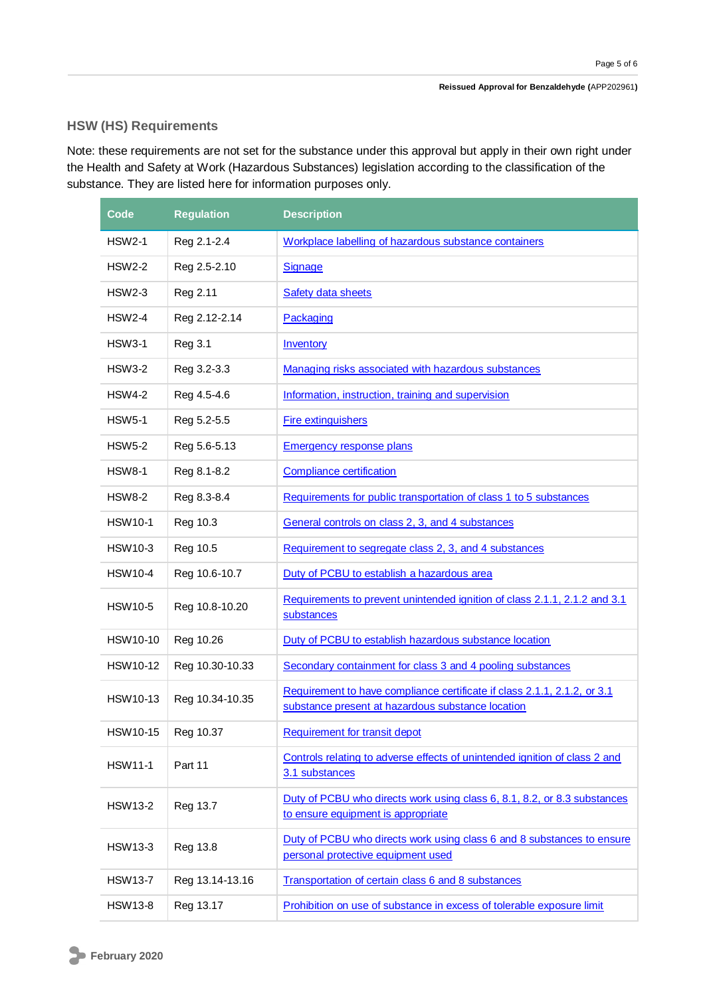#### **HSW (HS) Requirements**

Note: these requirements are not set for the substance under this approval but apply in their own right under the Health and Safety at Work (Hazardous Substances) legislation according to the classification of the substance. They are listed here for information purposes only.

| Code           | <b>Regulation</b> | <b>Description</b>                                                                                                            |
|----------------|-------------------|-------------------------------------------------------------------------------------------------------------------------------|
| <b>HSW2-1</b>  | Reg 2.1-2.4       | Workplace labelling of hazardous substance containers                                                                         |
| HSW2-2         | Reg 2.5-2.10      | Signage                                                                                                                       |
| <b>HSW2-3</b>  | Reg 2.11          | Safety data sheets                                                                                                            |
| <b>HSW2-4</b>  | Reg 2.12-2.14     | Packaging                                                                                                                     |
| <b>HSW3-1</b>  | <b>Reg 3.1</b>    | Inventory                                                                                                                     |
| <b>HSW3-2</b>  | Reg 3.2-3.3       | Managing risks associated with hazardous substances                                                                           |
| <b>HSW4-2</b>  | Reg 4.5-4.6       | Information, instruction, training and supervision                                                                            |
| <b>HSW5-1</b>  | Reg 5.2-5.5       | <b>Fire extinguishers</b>                                                                                                     |
| <b>HSW5-2</b>  | Reg 5.6-5.13      | <b>Emergency response plans</b>                                                                                               |
| <b>HSW8-1</b>  | Reg 8.1-8.2       | <b>Compliance certification</b>                                                                                               |
| <b>HSW8-2</b>  | Reg 8.3-8.4       | Requirements for public transportation of class 1 to 5 substances                                                             |
| <b>HSW10-1</b> | Reg 10.3          | General controls on class 2, 3, and 4 substances                                                                              |
| <b>HSW10-3</b> | Reg 10.5          | Requirement to segregate class 2, 3, and 4 substances                                                                         |
| <b>HSW10-4</b> | Reg 10.6-10.7     | Duty of PCBU to establish a hazardous area                                                                                    |
| <b>HSW10-5</b> | Reg 10.8-10.20    | Requirements to prevent unintended ignition of class 2.1.1, 2.1.2 and 3.1<br>substances                                       |
| HSW10-10       | Reg 10.26         | Duty of PCBU to establish hazardous substance location                                                                        |
| HSW10-12       | Reg 10.30-10.33   | Secondary containment for class 3 and 4 pooling substances                                                                    |
| HSW10-13       | Reg 10.34-10.35   | Requirement to have compliance certificate if class 2.1.1, 2.1.2, or 3.1<br>substance present at hazardous substance location |
| HSW10-15       | Reg 10.37         | Requirement for transit depot                                                                                                 |
| <b>HSW11-1</b> | Part 11           | Controls relating to adverse effects of unintended ignition of class 2 and<br>3.1 substances                                  |
| <b>HSW13-2</b> | Reg 13.7          | Duty of PCBU who directs work using class 6, 8.1, 8.2, or 8.3 substances<br>to ensure equipment is appropriate                |
| <b>HSW13-3</b> | Reg 13.8          | Duty of PCBU who directs work using class 6 and 8 substances to ensure<br>personal protective equipment used                  |
| <b>HSW13-7</b> | Reg 13.14-13.16   | Transportation of certain class 6 and 8 substances                                                                            |
| <b>HSW13-8</b> | Reg 13.17         | Prohibition on use of substance in excess of tolerable exposure limit                                                         |